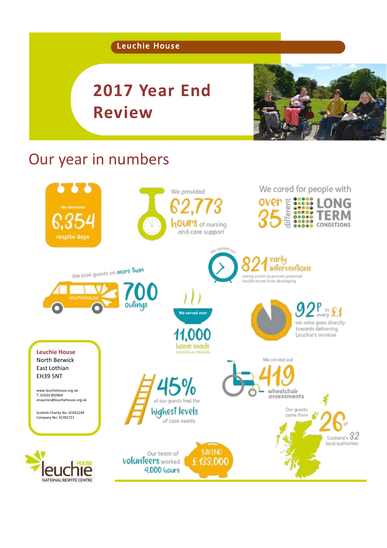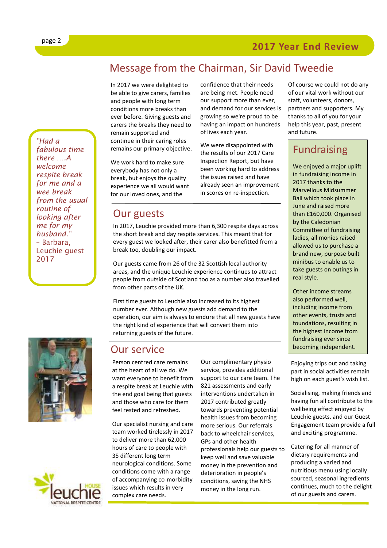*fabulous time there ….A welcome respite break for me and a wee break from the usual routine of looking after me for my husband."*  – Barbara, Leuchie guest 2017





# Message from the Chairman, Sir David Tweedie

In 2017 we were delighted to be able to give carers, families and people with long term conditions more breaks than ever before. Giving guests and carers the breaks they need to remain supported and continue in their caring roles remains our primary objective.

We work hard to make sure everybody has not only a break, but enjoys the quality experience we all would want for our loved ones, and the

confidence that their needs are being met. People need our support more than ever, and demand for our services is growing so we're proud to be having an impact on hundreds of lives each year.

We were disappointed with the results of our 2017 Care Inspection Report, but have been working hard to address the issues raised and have already seen an improvement in scores on re-inspection.

#### Our guests

In 2017, Leuchie provided more than 6,300 respite days across the short break and day respite services. This meant that for every guest we looked after, their carer also benefitted from a break too, doubling our impact.

Our guests came from 26 of the 32 Scottish local authority areas, and the unique Leuchie experience continues to attract people from outside of Scotland too as a number also travelled from other parts of the UK.

First time guests to Leuchie also increased to its highest number ever. Although new guests add demand to the operation, our aim is always to endure that all new guests have the right kind of experience that will convert them into returning guests of the future.

#### Our service

Person centred care remains at the heart of all we do. We want everyone to benefit from a respite break at Leuchie with the end goal being that guests and those who care for them feel rested and refreshed.

Our specialist nursing and care team worked tirelessly in 2017 to deliver more than 62,000 hours of care to people with 35 different long term neurological conditions. Some conditions come with a range of accompanying co-morbidity issues which results in very complex care needs.

Our complimentary physio service, provides additional support to our care team. The 821 assessments and early interventions undertaken in 2017 contributed greatly towards preventing potential health issues from becoming more serious. Our referrals back to wheelchair services, GPs and other health professionals help our guests to keep well and save valuable money in the prevention and deterioration in people's conditions, saving the NHS money in the long run.

Of course we could not do any of our vital work without our staff, volunteers, donors, partners and supporters. My thanks to all of you for your help this year, past, present and future.

### Fundraising

We enjoyed a major uplift in fundraising income in 2017 thanks to the Marvellous Midsummer Ball which took place in June and raised more than £160,000. Organised by the Caledonian Committee of fundraising ladies, all monies raised allowed us to purchase a brand new, purpose built minibus to enable us to take guests on outings in real style.

Other income streams also performed well, including income from other events, trusts and foundations, resulting in the highest income from fundraising ever since becoming independent.

Enjoying trips out and taking part in social activities remain high on each guest's wish list.

Socialising, making friends and having fun all contribute to the wellbeing effect enjoyed by Leuchie guests, and our Guest Engagement team provide a full and exciting programme.

Catering for all manner of dietary requirements and producing a varied and nutritious menu using locally sourced, seasonal ingredients continues, much to the delight of our guests and carers.

page 2